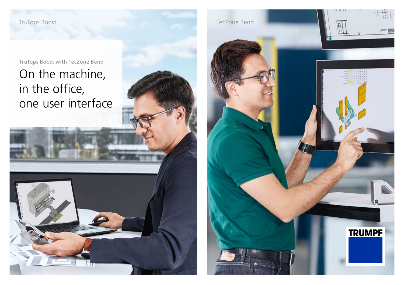TruTops Boost with TecZone Bend

# On the machine, in the office, one user interface

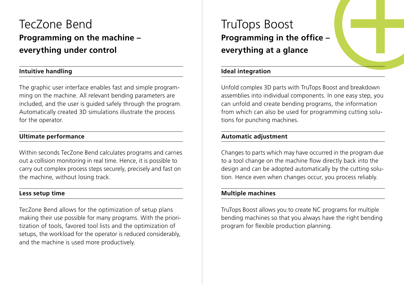# TecZone Bend **Programming on the machine – everything under control**

# **Intuitive handling**

The graphic user interface enables fast and simple programming on the machine. All relevant bending parameters are included, and the user is guided safely through the program. Automatically created 3D simulations illustrate the process for the operator.

## **Ultimate performance**

Within seconds TecZone Bend calculates programs and carries out a collision monitoring in real time. Hence, it is possible to carry out complex process steps securely, precisely and fast on the machine, without losing track.

### **Less setup time**

TecZone Bend allows for the optimization of setup plans making their use possible for many programs. With the prioritization of tools, favored tool lists and the optimization of setups, the workload for the operator is reduced considerably, and the machine is used more productively.

# TruTops Boost **Programming in the office – everything at a glance**

## **Ideal integration**

Unfold complex 3D parts with TruTops Boost and breakdown assemblies into individual components. In one easy step, you can unfold and create bending programs, the information from which can also be used for programming cutting solutions for punching machines.

## **Automatic adjustment**

Changes to parts which may have occurred in the program due to a tool change on the machine flow directly back into the design and can be adopted automatically by the cutting solution. Hence even when changes occur, you process reliably.

## **Multiple machines**

TruTops Boost allows you to create NC programs for multiple bending machines so that you always have the right bending program for flexible production planning.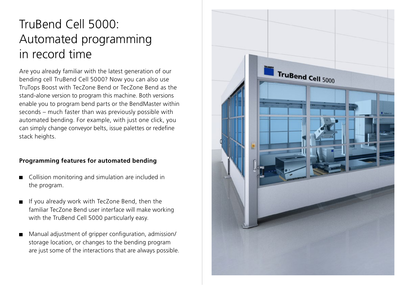# TruBend Cell 5000: Automated programming in record time

Are you already familiar with the latest generation of our bending cell TruBend Cell 5000? Now you can also use TruTops Boost with TecZone Bend or TecZone Bend as the stand-alone version to program this machine. Both versions enable you to program bend parts or the BendMaster within seconds – much faster than was previously possible with automated bending. For example, with just one click, you can simply change conveyor belts, issue palettes or redefine stack heights.

# **Programming features for automated bending**

- Collision monitoring and simulation are included in the program.
- If you already work with TecZone Bend, then the familiar TecZone Bend user interface will make working with the TruBend Cell 5000 particularly easy.
- Manual adjustment of gripper configuration, admission/ storage location, or changes to the bending program are just some of the interactions that are always possible.

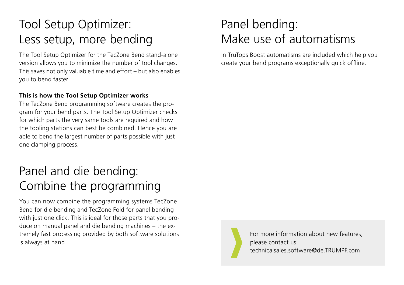# Tool Setup Optimizer: Less setup, more bending

The Tool Setup Optimizer for the TecZone Bend stand-alone version allows you to minimize the number of tool changes. This saves not only valuable time and effort – but also enables you to bend faster.

## **This is how the Tool Setup Optimizer works**

The TecZone Bend programming software creates the program for your bend parts. The Tool Setup Optimizer checks for which parts the very same tools are required and how the tooling stations can best be combined. Hence you are able to bend the largest number of parts possible with just one clamping process.

# Panel and die bending: Combine the programming

You can now combine the programming systems TecZone Bend for die bending and TecZone Fold for panel bending with just one click. This is ideal for those parts that you produce on manual panel and die bending machines – the extremely fast processing provided by both software solutions is always at hand.

# Panel bending: Make use of automatisms

In TruTops Boost automatisms are included which help you create your bend programs exceptionally quick offline.



For more information about new features, please contact us: technicalsales.software@de.TRUMPF.com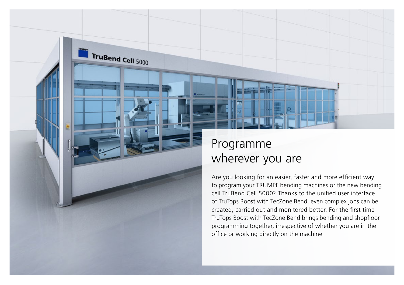

TruBend Cell 5000

# Programme wherever you are

Are you looking for an easier, faster and more efficient way to program your TRUMPF bending machines or the new bending cell TruBend Cell 5000? Thanks to the unified user interface of TruTops Boost with TecZone Bend, even complex jobs can be created, carried out and monitored better. For the first time TruTops Boost with TecZone Bend brings bending and shopfloor programming together, irrespective of whether you are in the office or working directly on the machine.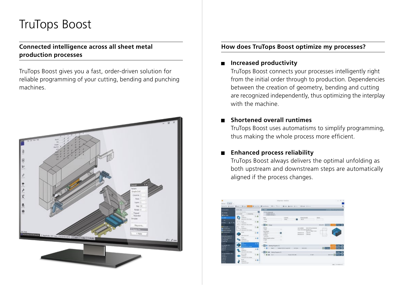# TruTops Boost

## **Connected intelligence across all sheet metal production processes**

TruTops Boost gives you a fast, order-driven solution for reliable programming of your cutting, bending and punching machines.



## **How does TruTops Boost optimize my processes?**

#### **Increased productivity**  $\blacksquare$

TruTops Boost connects your processes intelligently right from the initial order through to production. Dependencies between the creation of geometry, bending and cutting are recognized independently, thus optimizing the interplay with the machine.

## **Shortened overall runtimes**

TruTops Boost uses automatisms to simplify programming, thus making the whole process more efficient.

# **Enhanced process reliability**

TruTops Boost always delivers the optimal unfolding as both upstream and downstream steps are automatically aligned if the process changes.

| <b>CHANGE</b>                                  | <b>PAULT</b> LINES                                                   | <b>Test</b>              |                                                             |          |                                        |                                 |                                                                                                 |                                   |               |                      |
|------------------------------------------------|----------------------------------------------------------------------|--------------------------|-------------------------------------------------------------|----------|----------------------------------------|---------------------------------|-------------------------------------------------------------------------------------------------|-----------------------------------|---------------|----------------------|
| Channels<br><b>Electrici</b>                   | This country and last<br>and from Ford<br><b>COMMUNITY</b><br>ALC: Y | ø<br>÷<br>L <sub>0</sub> | il for a long cost<br>smark ages in<br>LAPARAS MODIFICATION |          |                                        |                                 |                                                                                                 |                                   |               |                      |
| <b>THAT</b>                                    | G<br><b>STATISTICS</b><br><b>MARINE CALL AND</b>                     |                          | <b>Tariff</b><br><b>WA</b>                                  |          | <b>Tucketia</b><br>Miller.             |                                 | <b>Director Business</b><br>36.34                                                               | <b>SHAKE</b><br><b>CONTRACTOR</b> |               |                      |
| ٠<br>mer<br>۰<br>$\epsilon$                    | TOWARD -                                                             | $5-6$                    | $\sim 100$                                                  |          |                                        |                                 |                                                                                                 |                                   |               |                      |
|                                                | e.<br><b>BUILDING CLAY, Alexander</b>                                |                          | <b>BIG</b> Deapt                                            |          |                                        |                                 |                                                                                                 |                                   | <b>WILDFA</b> | $0 = 10$             |
| <b>Dealers</b><br>$-$                          | ALC: U<br>Total Alberta Co.<br><b>BUSINESS FARM</b>                  | 3.6                      | <b>Name</b><br><b>SAMA</b><br><b>Top Viewer</b>             |          |                                        |                                 | Latin mushkasi  . 1012 Little by Ammarial<br>Import Adversion AV Monday<br>267-76 Edith, To you |                                   | 7.07          |                      |
| --<br>Almenaments                              | ALC U<br><b>With Arts In Art</b>                                     | 50                       | Unaniversity<br><b>Exhibits</b><br>List Lower               | п<br>٠   |                                        |                                 | Ormstein MI<br><b>Disk men</b><br><b><i><u>Personal AV</u></i></b><br>744 m                     |                                   | bru)          |                      |
| <b>Lease Property Co.</b><br>w<br><b>AM DE</b> | <b>READY</b><br>programs -<br><b>MATURALISM</b>                      | 4.6                      | <b>All ordinade and too</b><br>in ser<br><b>Chair</b>       | $\sim$   |                                        |                                 |                                                                                                 |                                   |               |                      |
| ◆<br><b>CHANGER</b>                            | −<br>m.<br><b><i><i>ALEN</i></i></b> WICKER                          | A 9                      | 2 ES O Beskins Programs (S)                                 |          |                                        |                                 |                                                                                                 |                                   |               | $\overline{1}$       |
| $-1$<br><b>STATISTICS</b><br><b>Phyllice</b>   | terra.<br><b>CONTRACT</b>                                            | $\pm 0$                  | $= 0$                                                       | American | <b>Pulling AT&amp; &amp; A Low WIT</b> | <b>CALLAST</b>                  | <b>SAN AND</b>                                                                                  |                                   | <b>STAND</b>  | $n = 1$              |
| <b>ELIMIN</b><br>--<br>--                      | <b>Schulter Will, John</b>                                           |                          | <b>STO A Graphique N</b>                                    |          |                                        |                                 |                                                                                                 |                                   |               | $-1$                 |
| --<br>$-$<br>$-$                               | <b>M.VL/Min</b><br><b>MARINE -</b><br><b>POLICE STATE AND</b>        | 3.6                      | $-36$<br>$A$ and                                            |          |                                        | <b><i>Related St D Like</i></b> |                                                                                                 | <b>COMP</b>                       |               | <b>MADY D. Com E</b> |
| $-0.05$<br><b>WATE</b>                         | ALC: Y<br>marine<br>mich in te te te                                 | A O                      |                                                             |          |                                        |                                 |                                                                                                 |                                   |               |                      |
|                                                |                                                                      |                          |                                                             |          |                                        |                                 |                                                                                                 |                                   |               | tes (incorporate)    |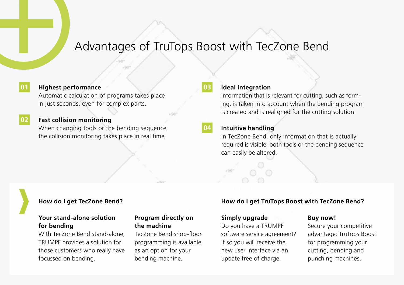# Advantages of TruTops Boost with TecZone Bend

### **Highest performance**

**01**

**02**

Automatic calculation of programs takes place in just seconds, even for complex parts.

### **Fast collision monitoring**

When changing tools or the bending sequence, the collision monitoring takes place in real time.

### **Ideal integration**

Information that is relevant for cutting, such as forming, is taken into account when the bending program is created and is realigned for the cutting solution.

### **04**

**03**

### **Intuitive handling**

In TecZone Bend, only information that is actually required is visible, both tools or the bending sequence can easily be altered.

### **Your stand-alone solution for bending**

With TecZone Bend stand-alone, TRUMPF provides a solution for those customers who really have focussed on bending.

### **Program directly on the machine**

TecZone Bend shop-floor programming is available as an option for your bending machine.

### **How do I get TecZone Bend? How do I get TruTops Boost with TecZone Bend?**

### **Simply upgrade**

Do you have a TRUMPF software service agreement? If so you will receive the new user interface via an update free of charge.

### **Buy now!**

Secure your competitive advantage: TruTops Boost for programming your cutting, bending and punching machines.